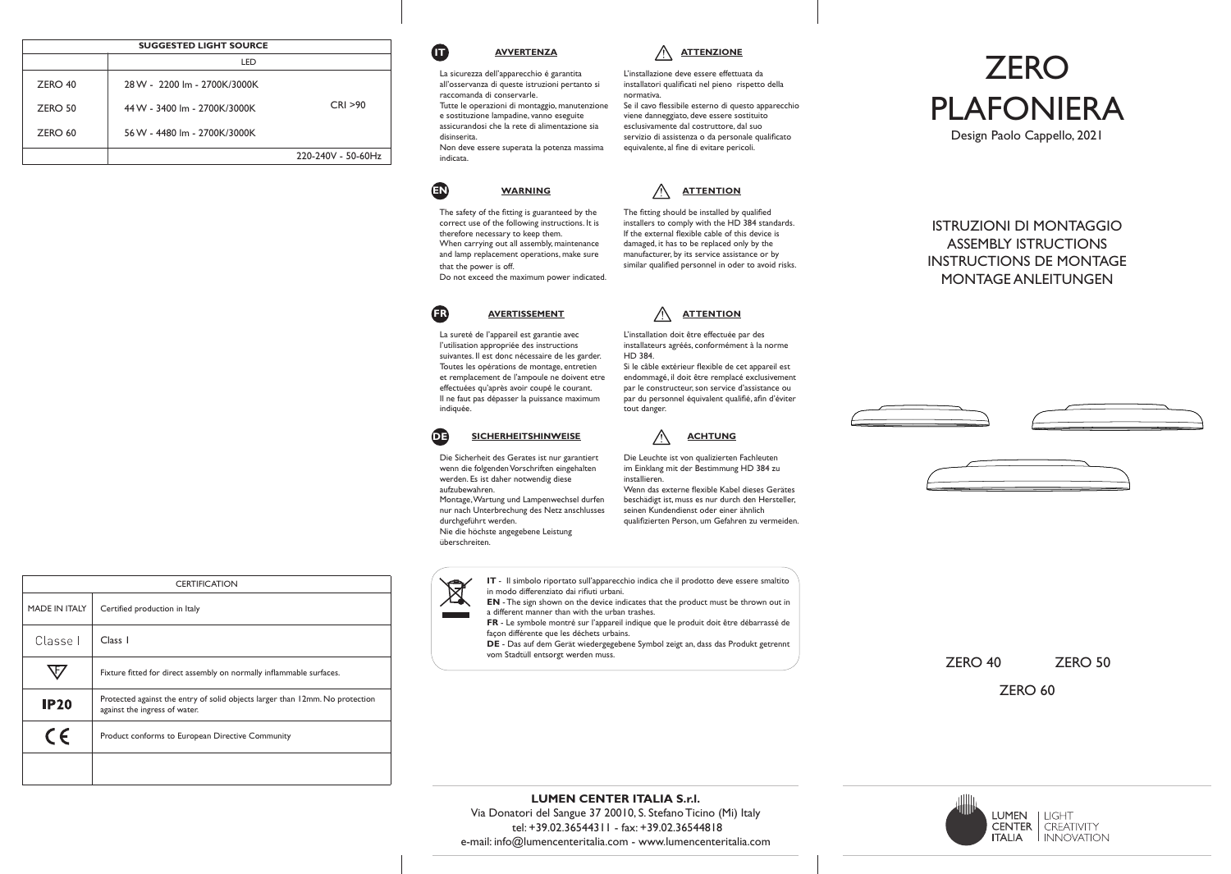|         | <b>SUGGESTED LIGHT SOURCE</b> |                    |
|---------|-------------------------------|--------------------|
|         | LED                           |                    |
| ZERO 40 | 28 W - 2200 lm - 2700K/3000K  |                    |
| ZERO 50 | 44 W - 3400 lm - 2700K/3000K  | CRI > 90           |
| ZERO 60 | 56 W - 4480 lm - 2700K/3000K  |                    |
|         |                               | 220-240V - 50-60Hz |



## **ATTENZIONE**

La sicurezza dell'apparecchio é garantita all'osservanza di queste istruzioni pertanto si raccomanda di conservarle. Tutte le operazioni di montaggio, manutenzione e sostituzione lampadine, vanno eseguite assicurandosi che la rete di alimentazione sia Non deve essere superata la potenza massima L'installazione deve essere effettuata da installatori qualificati nel pieno rispetto della normativa. Se il cavo flessibile esterno di questo apparecchio viene danneggiato, deve essere sostituito esclusivamente dal costruttore, dal suo servizio di assistenza o da personale qualificato equivalente, al fine di evitare pericoli.

**WARNING**

**EN**

disinserita.

indicata.

The safety of the fitting is guaranteed by the correct use of the following instructions. It is therefore necessary to keep them. When carrying out all assembly, maintenance and lamp replacement operations, make sure that the power is off. Do not exceed the maximum power indicated.

## **AVERTISSEMENT FR**

La sureté de l'appareil est garantie avec l'utilisation appropriée des instructions suivantes. Il est donc nécessaire de les garder. Toutes les opérations de montage, entretien et remplacement de l'ampoule ne doivent etre effectuées qu'après avoir coupé le courant. Il ne faut pas dépasser la puissance maximum indiquée.



Die Sicherheit des Gerates ist nur garantiert wenn die folgenden Vorschriften eingehalten werden. Es ist daher notwendig diese aufzubewahren. Montage, Wartung und Lampenwechsel durfen nur nach Unterbrechung des Netz anschlusses durchgeführt werden. Nie die höchste angegebene Leistung überschreiten.

**ACHTUNG**

**ATTENTION** L'installation doit être effectuée par des installateurs agréés, conformément à la norme

**ATTENTION** The fitting should be installed by qualified installers to comply with the HD 384 standards. If the external flexible cable of this device is damaged, it has to be replaced only by the manufacturer, by its service assistance or by similar qualified personnel in oder to avoid risks.

Si le câble extérieur flexible de cet appareil est endommagé, il doit être remplacé exclusivement par le constructeur, son service d'assistance ou par du personnel équivalent qualifié, afin d'éviter

Die Leuchte ist von qualizierten Fachleuten im Einklang mit der Bestimmung HD 384 zu installieren. Wenn das externe flexible Kabel dieses Gerätes beschädigt ist, muss es nur durch den Hersteller, seinen Kundendienst oder einer ähnlich qualifizierten Person, um Gefahren zu vermeiden.

**IT** - Il simbolo riportato sull'apparecchio indica che il prodotto deve essere smaltito  $\boxtimes$ in modo differenziato dai rifiuti urbani. **EN** - The sign shown on the device indicates that the product must be thrown out in



a different manner than with the urban trashes. **FR** - Le symbole montré sur l'appareil indique que le produit doit être débarrassé de façon différente que les déchets urbains.

HD 384.

tout danger.

**DE** - Das auf dem Gerät wiedergegebene Symbol zeigt an, dass das Produkt getrennt vom Stadtüll entsorgt werden muss.



ISTRUZIONI DI MONTAGGIO ASSEMBLY ISTRUCTIONS INSTRUCTIONS DE MONTAGE MONTAGE ANLEITUNGEN





ZERO 40 ZERO 50

ZERO 60

| <b>CERTIFICATION</b> |                                                                                                               |  |
|----------------------|---------------------------------------------------------------------------------------------------------------|--|
| MADE IN ITALY        | Certified production in Italy                                                                                 |  |
| Classe I             | Class 1                                                                                                       |  |
|                      | Fixture fitted for direct assembly on normally inflammable surfaces.                                          |  |
| <b>IP20</b>          | Protected against the entry of solid objects larger than 12mm. No protection<br>against the ingress of water. |  |
| $\epsilon$           | Product conforms to European Directive Community                                                              |  |
|                      |                                                                                                               |  |

**LUMEN CENTER ITALIA S.r.l.** Via Donatori del Sangue 37 20010, S. Stefano Ticino (Mi) Italy tel: +39.02.36544311 - fax: +39.02.36544818 e-mail: info@lumencenteritalia.com - www.lumencenteritalia.com